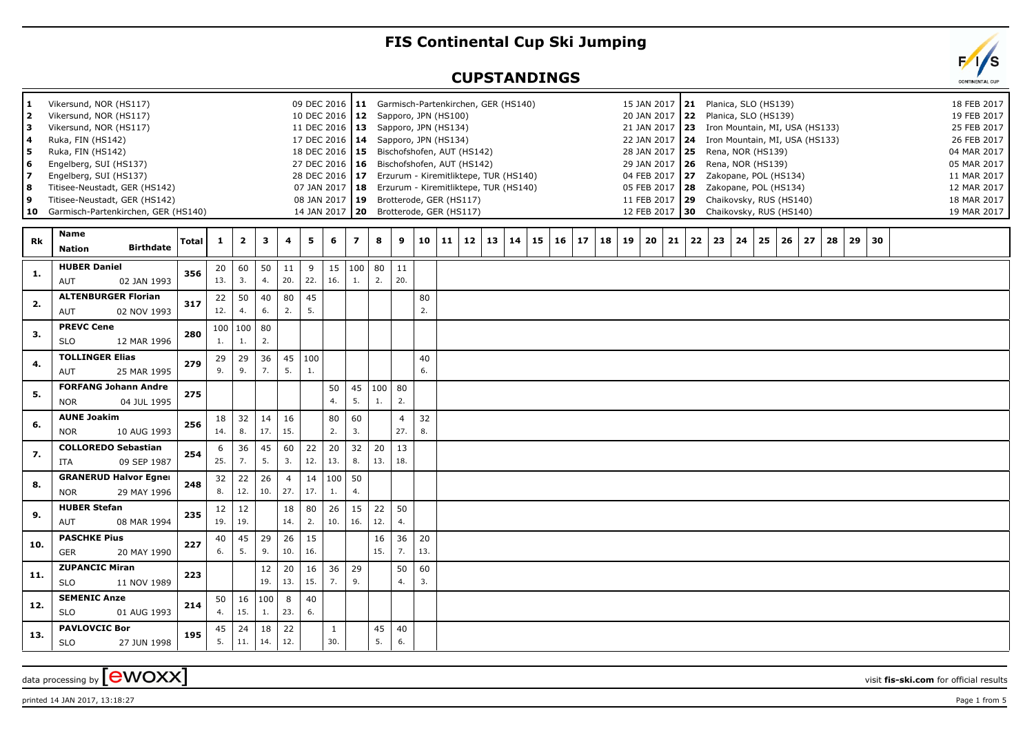## **FIS Continental Cup Ski Jumping**

## **CUPSTANDINGS**

| 1.<br>$\overline{2}$ | Vikersund, NOR (HS117)<br>Vikersund, NOR (HS117) |       |              |                |     |                |               | 10 DEC 2016   12 Sapporo, JPN (HS100) |                |          |                |     |    | 09 DEC 2016   11 Garmisch-Partenkirchen, GER (HS140) |                 |    |    |    |    |    |    |    | 15 JAN 2017   21 Planica, SLO (HS139)<br>20 JAN 2017 22 Planica, SLO (HS139) |    |                                |    |    |    |    |    |    |    |  |  | 18 FEB 2017<br>19 FEB 2017 |
|----------------------|--------------------------------------------------|-------|--------------|----------------|-----|----------------|---------------|---------------------------------------|----------------|----------|----------------|-----|----|------------------------------------------------------|-----------------|----|----|----|----|----|----|----|------------------------------------------------------------------------------|----|--------------------------------|----|----|----|----|----|----|----|--|--|----------------------------|
| 3                    | Vikersund, NOR (HS117)                           |       |              |                |     |                |               | 11 DEC 2016   13 Sapporo, JPN (HS134) |                |          |                |     |    |                                                      |                 |    |    |    |    |    |    |    | 21 JAN 2017 23                                                               |    | Iron Mountain, MI, USA (HS133) |    |    |    |    |    |    |    |  |  | 25 FEB 2017                |
| 4                    | Ruka, FIN (HS142)                                |       |              |                |     |                |               | 17 DEC 2016   14 Sapporo, JPN (HS134) |                |          |                |     |    |                                                      |                 |    |    |    |    |    |    |    | 22 JAN 2017   24 Iron Mountain, MI, USA (HS133)                              |    |                                |    |    |    |    |    |    |    |  |  | 26 FEB 2017                |
| 5                    | Ruka, FIN (HS142)                                |       |              |                |     |                |               |                                       |                |          |                |     |    | 18 DEC 2016   15 Bischofshofen, AUT (HS142)          |                 |    |    |    |    |    |    |    | 28 JAN 2017 25 Rena, NOR (HS139)                                             |    |                                |    |    |    |    |    |    |    |  |  | 04 MAR 2017                |
| 6                    | Engelberg, SUI (HS137)                           |       |              |                |     |                |               |                                       |                |          |                |     |    | 27 DEC 2016   16 Bischofshofen, AUT (HS142)          |                 |    |    |    |    |    |    |    | 29 JAN 2017   26 Rena, NOR (HS139)                                           |    |                                |    |    |    |    |    |    |    |  |  | 05 MAR 2017                |
| $\overline{z}$       | Engelberg, SUI (HS137)                           |       |              |                |     |                |               |                                       |                |          |                |     |    | 28 DEC 2016 17 Erzurum - Kiremitliktepe, TUR (HS140) |                 |    |    |    |    |    |    |    | 04 FEB 2017 27 Zakopane, POL (HS134)                                         |    |                                |    |    |    |    |    |    |    |  |  | 11 MAR 2017                |
| 8                    | Titisee-Neustadt, GER (HS142)                    |       |              |                |     |                |               | 07 JAN 2017   18                      |                |          |                |     |    | Erzurum - Kiremitliktepe, TUR (HS140)                |                 |    |    |    |    |    |    |    | 05 FEB 2017   28                                                             |    | Zakopane, POL (HS134)          |    |    |    |    |    |    |    |  |  | 12 MAR 2017                |
| 9                    | Titisee-Neustadt, GER (HS142)                    |       |              |                |     |                |               | 08 JAN 2017                           |                |          |                |     |    | 19 Brotterode, GER (HS117)                           |                 |    |    |    |    |    |    |    | 11 FEB 2017 29 Chaikovsky, RUS (HS140)                                       |    |                                |    |    |    |    |    |    |    |  |  | 18 MAR 2017                |
|                      | 10 Garmisch-Partenkirchen, GER (HS140)           |       |              |                |     |                |               | 14 JAN 2017                           | l 20           |          |                |     |    | Brotterode, GER (HS117)                              |                 |    |    |    |    |    |    |    | 12 FEB 2017   30 Chaikovsky, RUS (HS140)                                     |    |                                |    |    |    |    |    |    |    |  |  | 19 MAR 2017                |
|                      | <b>Name</b>                                      |       |              |                |     |                |               |                                       |                |          |                |     |    |                                                      |                 |    |    |    |    |    |    |    |                                                                              |    |                                |    |    |    |    |    |    |    |  |  |                            |
| Rk                   | <b>Birthdate</b><br><b>Nation</b>                | Total | $\mathbf{1}$ | $\overline{2}$ | 3   | 4              | 5             | 6                                     | $\overline{z}$ | 8        | 9              | 10  | 11 | 12                                                   | 13 <sup>1</sup> | 14 | 15 | 16 | 17 | 18 | 19 | 20 | 21                                                                           | 22 | 23                             | 24 | 25 | 26 | 27 | 28 | 29 | 30 |  |  |                            |
|                      | <b>HUBER Daniel</b>                              |       | 20           | 60             | 50  | 11             | 9             | 15                                    | 100            | 80       | 11             |     |    |                                                      |                 |    |    |    |    |    |    |    |                                                                              |    |                                |    |    |    |    |    |    |    |  |  |                            |
| 1.                   | AUT<br>02 JAN 1993                               | 356   | 13.          | 3.             | 4.  | 20.            | 22.           | 16.                                   | 1.             | 2.       | 20.            |     |    |                                                      |                 |    |    |    |    |    |    |    |                                                                              |    |                                |    |    |    |    |    |    |    |  |  |                            |
|                      | <b>ALTENBURGER Florian</b>                       |       | 22           | 50             | 40  | 80             | 45            |                                       |                |          |                | 80  |    |                                                      |                 |    |    |    |    |    |    |    |                                                                              |    |                                |    |    |    |    |    |    |    |  |  |                            |
| 2.                   | AUT<br>02 NOV 1993                               | 317   | 12.          | 4.             | 6.  | 2.             | 5.            |                                       |                |          |                | 2.  |    |                                                      |                 |    |    |    |    |    |    |    |                                                                              |    |                                |    |    |    |    |    |    |    |  |  |                            |
|                      | <b>PREVC Cene</b>                                |       |              | 100   100      | 80  |                |               |                                       |                |          |                |     |    |                                                      |                 |    |    |    |    |    |    |    |                                                                              |    |                                |    |    |    |    |    |    |    |  |  |                            |
| 3.                   | <b>SLO</b><br>12 MAR 1996                        | 280   | 1.           | 1.             | 2.  |                |               |                                       |                |          |                |     |    |                                                      |                 |    |    |    |    |    |    |    |                                                                              |    |                                |    |    |    |    |    |    |    |  |  |                            |
| 4.                   | <b>TOLLINGER Elias</b>                           | 279   | 29           | 29             | 36  |                | $45 \mid 100$ |                                       |                |          |                | 40  |    |                                                      |                 |    |    |    |    |    |    |    |                                                                              |    |                                |    |    |    |    |    |    |    |  |  |                            |
|                      | AUT<br>25 MAR 1995                               |       | 9.           | 9.             | 7.  | 5.             | 1.            |                                       |                |          |                | 6.  |    |                                                      |                 |    |    |    |    |    |    |    |                                                                              |    |                                |    |    |    |    |    |    |    |  |  |                            |
| 5.                   | <b>FORFANG Johann Andre</b>                      | 275   |              |                |     |                |               | 50                                    | 45             | $100$ 80 |                |     |    |                                                      |                 |    |    |    |    |    |    |    |                                                                              |    |                                |    |    |    |    |    |    |    |  |  |                            |
|                      | <b>NOR</b><br>04 JUL 1995                        |       |              |                |     |                |               | 4.                                    | 5.             | 1.       | 2.             |     |    |                                                      |                 |    |    |    |    |    |    |    |                                                                              |    |                                |    |    |    |    |    |    |    |  |  |                            |
|                      | <b>AUNE Joakim</b>                               |       | 18           | 32             | 14  | 16             |               | 80                                    | 60             |          | $\overline{4}$ | 32  |    |                                                      |                 |    |    |    |    |    |    |    |                                                                              |    |                                |    |    |    |    |    |    |    |  |  |                            |
| 6.                   | <b>NOR</b><br>10 AUG 1993                        | 256   | 14.          | 8.             | 17. | 15.            |               | 2.                                    | 3.             |          | 27.            | 8.  |    |                                                      |                 |    |    |    |    |    |    |    |                                                                              |    |                                |    |    |    |    |    |    |    |  |  |                            |
| 7.                   | <b>COLLOREDO Sebastian</b>                       | 254   | 6            | 36             | 45  | 60             | 22            | 20                                    | 32             | 20       | 13             |     |    |                                                      |                 |    |    |    |    |    |    |    |                                                                              |    |                                |    |    |    |    |    |    |    |  |  |                            |
|                      | 09 SEP 1987<br><b>ITA</b>                        |       | 25.          | 7.             | 5.  | 3.             | 12.           | 13.                                   | 8.             | 13.      | 18.            |     |    |                                                      |                 |    |    |    |    |    |    |    |                                                                              |    |                                |    |    |    |    |    |    |    |  |  |                            |
|                      | <b>GRANERUD Halvor Egner</b>                     |       | 32           | 22             | 26  | $\overline{4}$ | 14            | 100                                   | 50             |          |                |     |    |                                                      |                 |    |    |    |    |    |    |    |                                                                              |    |                                |    |    |    |    |    |    |    |  |  |                            |
| 8.                   | <b>NOR</b><br>29 MAY 1996                        | 248   | 8.           | 12.            | 10. | 27.            | 17.           | 1.                                    | 4.             |          |                |     |    |                                                      |                 |    |    |    |    |    |    |    |                                                                              |    |                                |    |    |    |    |    |    |    |  |  |                            |
|                      | <b>HUBER Stefan</b>                              |       | 12           | 12             |     | 18             | 80            | 26                                    | 15             | 22       | 50             |     |    |                                                      |                 |    |    |    |    |    |    |    |                                                                              |    |                                |    |    |    |    |    |    |    |  |  |                            |
| 9.                   | AUT<br>08 MAR 1994                               | 235   | 19.          | 19.            |     | 14.            | 2.            | 10.                                   | 16.            | 12.      | 4.             |     |    |                                                      |                 |    |    |    |    |    |    |    |                                                                              |    |                                |    |    |    |    |    |    |    |  |  |                            |
|                      | <b>PASCHKE Pius</b>                              |       | 40           | 45             | 29  | 26             | 15            |                                       |                | 16       | 36             | 20  |    |                                                      |                 |    |    |    |    |    |    |    |                                                                              |    |                                |    |    |    |    |    |    |    |  |  |                            |
| 10.                  | <b>GER</b><br>20 MAY 1990                        | 227   | 6.           | 5.             | 9.  | 10.            | 16.           |                                       |                | 15.      | 7.             | 13. |    |                                                      |                 |    |    |    |    |    |    |    |                                                                              |    |                                |    |    |    |    |    |    |    |  |  |                            |
|                      | <b>ZUPANCIC Miran</b>                            | 223   |              |                | 12  | 20             | 16            | 36                                    | 29             |          | 50             | 60  |    |                                                      |                 |    |    |    |    |    |    |    |                                                                              |    |                                |    |    |    |    |    |    |    |  |  |                            |
| 11.                  | <b>SLO</b><br>11 NOV 1989                        |       |              |                | 19. | 13.            | 15.           | 7.                                    | 9.             |          | 4.             | 3.  |    |                                                      |                 |    |    |    |    |    |    |    |                                                                              |    |                                |    |    |    |    |    |    |    |  |  |                            |
| 12.                  | <b>SEMENIC Anze</b>                              | 214   | 50           | 16             | 100 | 8              | 40            |                                       |                |          |                |     |    |                                                      |                 |    |    |    |    |    |    |    |                                                                              |    |                                |    |    |    |    |    |    |    |  |  |                            |
|                      | <b>SLO</b><br>01 AUG 1993                        |       | 4.           | 15.            | 1.  | 23.            | 6.            |                                       |                |          |                |     |    |                                                      |                 |    |    |    |    |    |    |    |                                                                              |    |                                |    |    |    |    |    |    |    |  |  |                            |
|                      | <b>PAVLOVCIC Bor</b>                             |       | 45           | 24             | 18  | 22             |               | $\mathbf{1}$                          |                | 45       | 40             |     |    |                                                      |                 |    |    |    |    |    |    |    |                                                                              |    |                                |    |    |    |    |    |    |    |  |  |                            |
| 13.                  | <b>SLO</b><br>27 JUN 1998                        | 195   | 5.           | 11.            | 14. | 12.            |               | 30.                                   |                | 5.       | 6.             |     |    |                                                      |                 |    |    |    |    |    |    |    |                                                                              |    |                                |    |    |    |    |    |    |    |  |  |                            |
|                      |                                                  |       |              |                |     |                |               |                                       |                |          |                |     |    |                                                      |                 |    |    |    |    |    |    |    |                                                                              |    |                                |    |    |    |    |    |    |    |  |  |                            |

printed 14 JAN 2017, 13:18:27 Page 1 from 5

data processing by **CWOXX** wisit **fis-ski.com** for official results

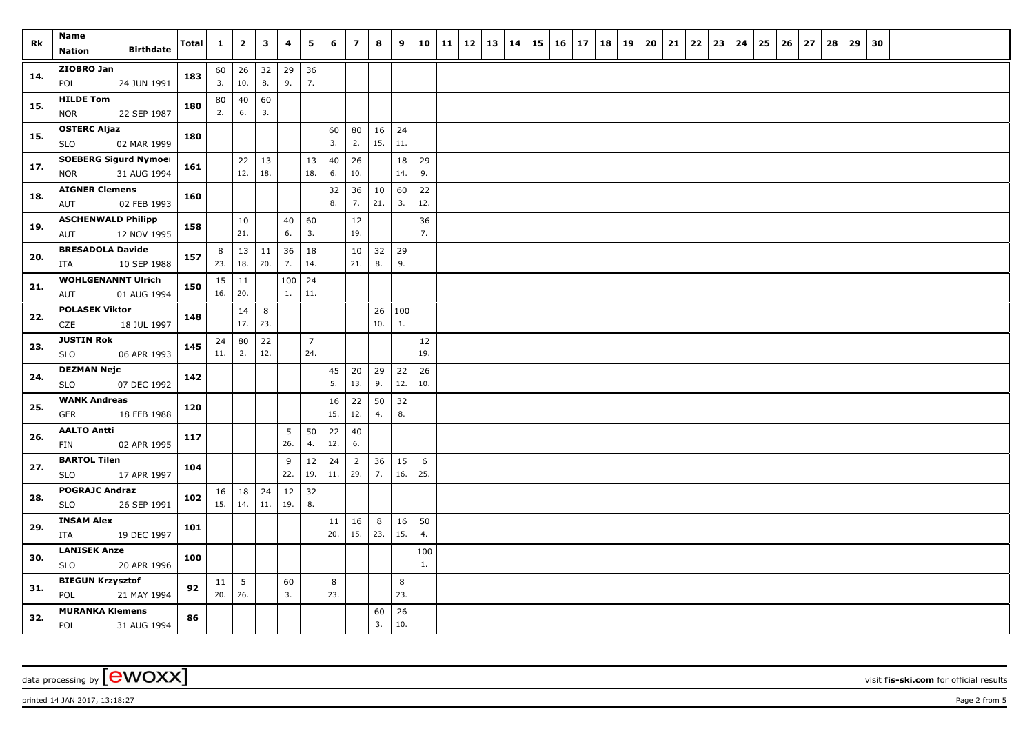| Rk  | Name<br><b>Birthdate</b><br>Nation                        | Total | $\mathbf{1}$        | $\overline{2}$         | $\mathbf{3}$  | 4         | 5                     | 6         | $\overline{z}$        | 8                   | 9            | 10          | 11 | 12 | 13 | 14 | $15 \mid 16$ | 17 | 18 | 19 | 20 | 21 | 22 | 23 | 24 | 25 | 26 | 27 | 28 | 29 | 30 |  |  |
|-----|-----------------------------------------------------------|-------|---------------------|------------------------|---------------|-----------|-----------------------|-----------|-----------------------|---------------------|--------------|-------------|----|----|----|----|--------------|----|----|----|----|----|----|----|----|----|----|----|----|----|----|--|--|
| 14. | ZIOBRO Jan<br>24 JUN 1991<br>POL                          | 183   | 3.                  | $60 \mid 26$<br>10.    | 32<br>8.      | 29<br>9.  | 36<br>7.              |           |                       |                     |              |             |    |    |    |    |              |    |    |    |    |    |    |    |    |    |    |    |    |    |    |  |  |
| 15. | <b>HILDE Tom</b><br>22 SEP 1987<br><b>NOR</b>             | 180   | 80<br>2.            | 40<br>6.               | 60<br>3.      |           |                       |           |                       |                     |              |             |    |    |    |    |              |    |    |    |    |    |    |    |    |    |    |    |    |    |    |  |  |
| 15. | <b>OSTERC Aljaz</b><br>02 MAR 1999<br><b>SLO</b>          | 180   |                     |                        |               |           |                       | 60<br>3.  | 80<br>2.              | $16 \mid 24$<br>15. | 11.          |             |    |    |    |    |              |    |    |    |    |    |    |    |    |    |    |    |    |    |    |  |  |
| 17. | <b>SOEBERG Sigurd Nymoel</b><br>31 AUG 1994<br><b>NOR</b> | 161   |                     | 22<br>12.              | 13<br>18.     |           | 13<br>18.             | 40<br>6.  | 26<br>10.             |                     | 18<br>14.    | 29<br>9.    |    |    |    |    |              |    |    |    |    |    |    |    |    |    |    |    |    |    |    |  |  |
| 18. | <b>AIGNER Clemens</b><br>02 FEB 1993<br>AUT               | 160   |                     |                        |               |           |                       | 32<br>8.  | 36<br>7.              | 10<br>21.           | 60<br>3.     | $22$<br>12. |    |    |    |    |              |    |    |    |    |    |    |    |    |    |    |    |    |    |    |  |  |
| 19. | <b>ASCHENWALD Philipp</b><br>12 NOV 1995<br>AUT           | 158   |                     | 10<br>21.              |               | 40<br>6.  | 60<br>3.              |           | 12<br>19.             |                     |              | 36<br>7.    |    |    |    |    |              |    |    |    |    |    |    |    |    |    |    |    |    |    |    |  |  |
| 20. | <b>BRESADOLA Davide</b><br>10 SEP 1988<br>ITA             | 157   | 8<br>23.            | 13<br>18.              | $11\,$<br>20. | 36<br>7.  | 18<br>14.             |           | 10<br>21.             | 32<br>8.            | 29<br>9.     |             |    |    |    |    |              |    |    |    |    |    |    |    |    |    |    |    |    |    |    |  |  |
| 21. | <b>WOHLGENANNT Ulrich</b><br>01 AUG 1994<br>AUT           | 150   | $15 \mid 11$<br>16. | 20.                    |               | 100<br>1. | 24<br>11.             |           |                       |                     |              |             |    |    |    |    |              |    |    |    |    |    |    |    |    |    |    |    |    |    |    |  |  |
| 22. | <b>POLASEK Viktor</b><br>CZE<br>18 JUL 1997               | 148   |                     | 14<br>17.              | 8<br>23.      |           |                       |           |                       | 10.                 | 26 100<br>1. |             |    |    |    |    |              |    |    |    |    |    |    |    |    |    |    |    |    |    |    |  |  |
| 23. | <b>JUSTIN Rok</b><br>06 APR 1993<br><b>SLO</b>            | 145   | $24 \mid 80$<br>11. | 2.                     | 22<br>12.     |           | $\overline{7}$<br>24. |           |                       |                     |              | 12<br>19.   |    |    |    |    |              |    |    |    |    |    |    |    |    |    |    |    |    |    |    |  |  |
| 24. | <b>DEZMAN Nejc</b><br><b>SLO</b><br>07 DEC 1992           | 142   |                     |                        |               |           |                       | 45<br>5.  | 20<br>13.             | 29<br>9.            | 22<br>12.    | 26<br>10.   |    |    |    |    |              |    |    |    |    |    |    |    |    |    |    |    |    |    |    |  |  |
| 25. | <b>WANK Andreas</b><br><b>GER</b><br>18 FEB 1988          | 120   |                     |                        |               |           |                       | 16<br>15. | 22<br>12.             | 50<br>4.            | 32<br>8.     |             |    |    |    |    |              |    |    |    |    |    |    |    |    |    |    |    |    |    |    |  |  |
| 26. | <b>AALTO Antti</b><br>02 APR 1995<br><b>FIN</b>           | 117   |                     |                        |               | 5<br>26.  | 50<br>4.              | 22<br>12. | 40<br>6.              |                     |              |             |    |    |    |    |              |    |    |    |    |    |    |    |    |    |    |    |    |    |    |  |  |
| 27. | <b>BARTOL Tilen</b><br><b>SLO</b><br>17 APR 1997          | 104   |                     |                        |               | 9<br>22.  | 12<br>19.             | 24<br>11. | $\overline{2}$<br>29. | 36<br>7.            | 15<br>16.    | 6<br>25.    |    |    |    |    |              |    |    |    |    |    |    |    |    |    |    |    |    |    |    |  |  |
| 28. | <b>POGRAJC Andraz</b><br><b>SLO</b><br>26 SEP 1991        | 102   | 15.                 | $16 \mid 18$<br>14.    | 24<br>11.     | 12<br>19. | 32<br>8.              |           |                       |                     |              |             |    |    |    |    |              |    |    |    |    |    |    |    |    |    |    |    |    |    |    |  |  |
| 29. | <b>INSAM Alex</b><br>ITA<br>19 DEC 1997                   | 101   |                     |                        |               |           |                       | 11<br>20. | 16<br>15.             | 8<br>23.            | 16<br>15.    | 50<br>4.    |    |    |    |    |              |    |    |    |    |    |    |    |    |    |    |    |    |    |    |  |  |
| 30. | <b>LANISEK Anze</b><br><b>SLO</b><br>20 APR 1996          | 100   |                     |                        |               |           |                       |           |                       |                     |              | 100<br>1.   |    |    |    |    |              |    |    |    |    |    |    |    |    |    |    |    |    |    |    |  |  |
| 31. | <b>BIEGUN Krzysztof</b><br>POL<br>21 MAY 1994             | 92    | 11<br>20.           | $5\phantom{.0}$<br>26. |               | 60<br>3.  |                       | 8<br>23.  |                       |                     | 8<br>23.     |             |    |    |    |    |              |    |    |    |    |    |    |    |    |    |    |    |    |    |    |  |  |
| 32. | <b>MURANKA Klemens</b><br>POL<br>31 AUG 1994              | 86    |                     |                        |               |           |                       |           |                       | 60<br>3.            | 26<br>10.    |             |    |    |    |    |              |    |    |    |    |    |    |    |    |    |    |    |    |    |    |  |  |

printed 14 JAN 2017, 13:18:27 **Page 2** from 5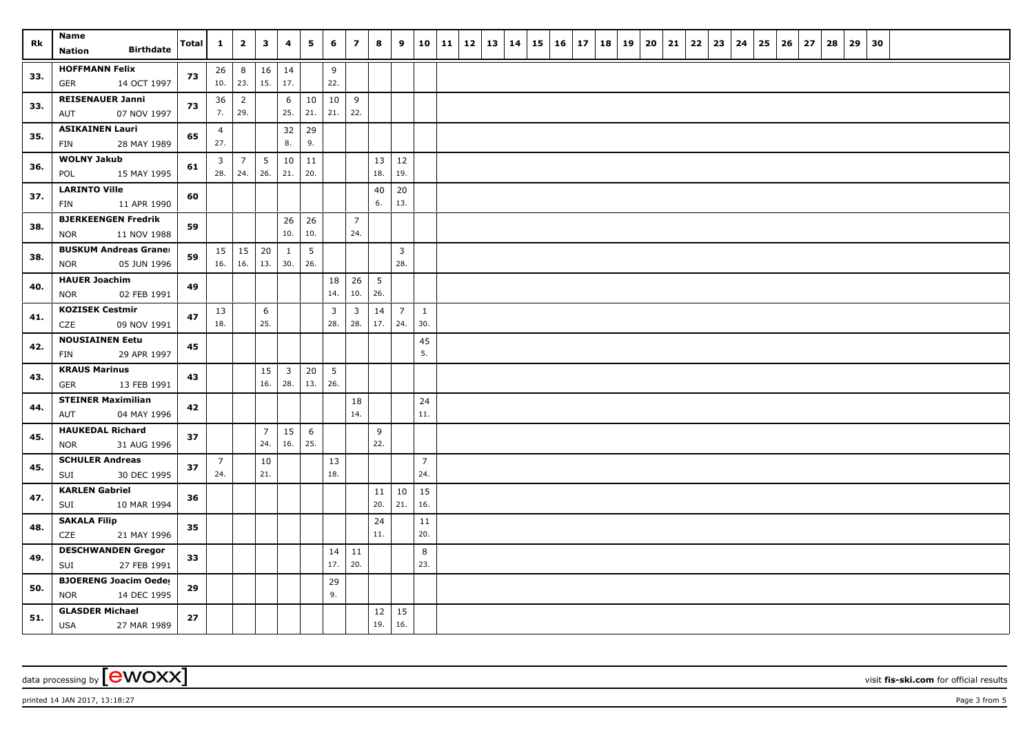| Rk  | Name<br><b>Birthdate</b><br>Nation                        | Total | $\mathbf{1}$          | $\mathbf{2}$          | $\overline{\mathbf{3}}$ | 4                     | 5         | 6         | $\overline{7}$                 | 8                      | 9                     | 10                    | 11 | 12 | 13 14 | 15 | $16 \mid 17$ | 18 | 19 | 20 | 21 | 22 | 23 | 24 | 25 | 26 | 27 | 28 | 29 | 30 |  |  |
|-----|-----------------------------------------------------------|-------|-----------------------|-----------------------|-------------------------|-----------------------|-----------|-----------|--------------------------------|------------------------|-----------------------|-----------------------|----|----|-------|----|--------------|----|----|----|----|----|----|----|----|----|----|----|----|----|--|--|
| 33. | <b>HOFFMANN Felix</b><br>GER<br>14 OCT 1997               | 73    | 26<br>10.             | $\bf 8$<br>23.        | 16<br>15.               | 14<br>17.             |           | 9<br>22.  |                                |                        |                       |                       |    |    |       |    |              |    |    |    |    |    |    |    |    |    |    |    |    |    |  |  |
| 33. | <b>REISENAUER Janni</b><br>07 NOV 1997<br>AUT             | 73    | 36<br>7.              | $\overline{2}$<br>29. |                         | 6<br>25.              | 10<br>21. | 10<br>21. | 9<br>22.                       |                        |                       |                       |    |    |       |    |              |    |    |    |    |    |    |    |    |    |    |    |    |    |  |  |
| 35. | <b>ASIKAINEN Lauri</b><br>28 MAY 1989<br>FIN              | 65    | $\overline{4}$<br>27. |                       |                         | 32<br>8.              | 29<br>9.  |           |                                |                        |                       |                       |    |    |       |    |              |    |    |    |    |    |    |    |    |    |    |    |    |    |  |  |
| 36. | <b>WOLNY Jakub</b><br>15 MAY 1995<br>POL                  | 61    | 3<br>28.              | $\overline{7}$<br>24. | 5<br>26.                | 10<br>21.             | 11<br>20. |           |                                | 13<br>18.              | 12<br>19.             |                       |    |    |       |    |              |    |    |    |    |    |    |    |    |    |    |    |    |    |  |  |
| 37. | <b>LARINTO Ville</b><br>11 APR 1990<br>FIN                | 60    |                       |                       |                         |                       |           |           |                                | 40<br>6.               | $20\,$<br>13.         |                       |    |    |       |    |              |    |    |    |    |    |    |    |    |    |    |    |    |    |  |  |
| 38. | <b>BJERKEENGEN Fredrik</b><br>11 NOV 1988<br>NOR          | 59    |                       |                       |                         | 26<br>10.             | 26<br>10. |           | $\overline{7}$<br>24.          |                        |                       |                       |    |    |       |    |              |    |    |    |    |    |    |    |    |    |    |    |    |    |  |  |
| 38. | <b>BUSKUM Andreas Graner</b><br>05 JUN 1996<br>NOR        | 59    | 15<br>16.             | 15<br>16.             | 20<br>13.               | $\mathbf{1}$<br>30.   | 5<br>26.  |           |                                |                        | $\overline{3}$<br>28. |                       |    |    |       |    |              |    |    |    |    |    |    |    |    |    |    |    |    |    |  |  |
| 40. | <b>HAUER Joachim</b><br>NOR<br>02 FEB 1991                | 49    |                       |                       |                         |                       |           | 18<br>14. | 26<br>10.                      | $5\overline{5}$<br>26. |                       |                       |    |    |       |    |              |    |    |    |    |    |    |    |    |    |    |    |    |    |  |  |
| 41. | <b>KOZISEK Cestmir</b><br>CZE<br>09 NOV 1991              | 47    | 13<br>18.             |                       | 6<br>25.                |                       |           | 3<br>28.  | $\overline{\mathbf{3}}$<br>28. | 14<br>17.              | $\overline{7}$<br>24. | $\mathbf{1}$<br>30.   |    |    |       |    |              |    |    |    |    |    |    |    |    |    |    |    |    |    |  |  |
| 42. | <b>NOUSIAINEN Eetu</b><br>29 APR 1997<br>FIN              | 45    |                       |                       |                         |                       |           |           |                                |                        |                       | 45<br>5.              |    |    |       |    |              |    |    |    |    |    |    |    |    |    |    |    |    |    |  |  |
| 43. | <b>KRAUS Marinus</b><br>GER<br>13 FEB 1991                | 43    |                       |                       | 15<br>16.               | $\overline{3}$<br>28. | 20<br>13. | 5<br>26.  |                                |                        |                       |                       |    |    |       |    |              |    |    |    |    |    |    |    |    |    |    |    |    |    |  |  |
| 44. | <b>STEINER Maximilian</b><br>04 MAY 1996<br>AUT           | 42    |                       |                       |                         |                       |           |           | 18<br>14.                      |                        |                       | 24<br>11.             |    |    |       |    |              |    |    |    |    |    |    |    |    |    |    |    |    |    |  |  |
| 45. | <b>HAUKEDAL Richard</b><br>31 AUG 1996<br><b>NOR</b>      | 37    |                       |                       | $\overline{7}$<br>24.   | 15<br>16.             | 6<br>25.  |           |                                | 9<br>22.               |                       |                       |    |    |       |    |              |    |    |    |    |    |    |    |    |    |    |    |    |    |  |  |
| 45. | <b>SCHULER Andreas</b><br>30 DEC 1995<br>SUI              | 37    | 7<br>24.              |                       | 10<br>21.               |                       |           | 13<br>18. |                                |                        |                       | $\overline{7}$<br>24. |    |    |       |    |              |    |    |    |    |    |    |    |    |    |    |    |    |    |  |  |
| 47. | <b>KARLEN Gabriel</b><br>SUI<br>10 MAR 1994               | 36    |                       |                       |                         |                       |           |           |                                | 11<br>20.              | 10<br>21.             | 15<br>16.             |    |    |       |    |              |    |    |    |    |    |    |    |    |    |    |    |    |    |  |  |
| 48. | <b>SAKALA Filip</b><br>CZE<br>21 MAY 1996                 | 35    |                       |                       |                         |                       |           |           |                                | 24<br>11.              |                       | 11<br>20.             |    |    |       |    |              |    |    |    |    |    |    |    |    |    |    |    |    |    |  |  |
| 49. | <b>DESCHWANDEN Gregor</b><br>SUI<br>27 FEB 1991           | 33    |                       |                       |                         |                       |           | 14<br>17. | 11<br>20.                      |                        |                       | 8<br>23.              |    |    |       |    |              |    |    |    |    |    |    |    |    |    |    |    |    |    |  |  |
| 50. | <b>BJOERENG Joacim Oeder</b><br><b>NOR</b><br>14 DEC 1995 | 29    |                       |                       |                         |                       |           | 29<br>9.  |                                |                        |                       |                       |    |    |       |    |              |    |    |    |    |    |    |    |    |    |    |    |    |    |  |  |
| 51. | <b>GLASDER Michael</b><br><b>USA</b><br>27 MAR 1989       | 27    |                       |                       |                         |                       |           |           |                                | 12<br>19.              | 15<br>16.             |                       |    |    |       |    |              |    |    |    |    |    |    |    |    |    |    |    |    |    |  |  |

data processing by **CWOXX** visit **fis-ski.com** for official results

printed 14 JAN 2017, 13:18:27 **Page 3** from 5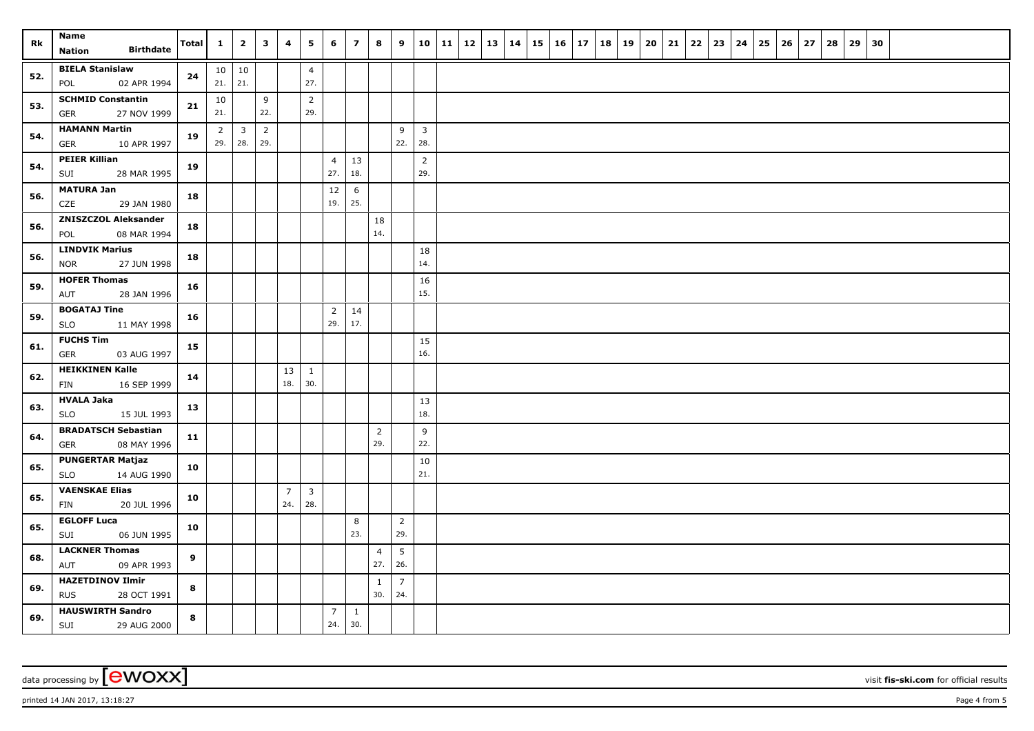| Rk  | Name                                             | Total | $\mathbf{1}$          | $\overline{2}$        | $\overline{\mathbf{3}}$ | 4              | 5                     | 6              | $\overline{z}$ | 8                     | 9                     |                | 10   11   12   13   14 |  | 15 | $16 \mid 17$ | 18 | 19 | 20 | 21 | 22 | 23 | 24 | 25 | 26 | 27 | 28 | 29 | 30 |  |  |
|-----|--------------------------------------------------|-------|-----------------------|-----------------------|-------------------------|----------------|-----------------------|----------------|----------------|-----------------------|-----------------------|----------------|------------------------|--|----|--------------|----|----|----|----|----|----|----|----|----|----|----|----|----|--|--|
|     | <b>Birthdate</b><br>Nation                       |       |                       |                       |                         |                |                       |                |                |                       |                       |                |                        |  |    |              |    |    |    |    |    |    |    |    |    |    |    |    |    |  |  |
| 52. | <b>BIELA Stanislaw</b>                           | 24    |                       | 10 10                 |                         |                | $\overline{4}$        |                |                |                       |                       |                |                        |  |    |              |    |    |    |    |    |    |    |    |    |    |    |    |    |  |  |
|     | 02 APR 1994<br>POL                               |       | 21.                   | 21.                   |                         |                | 27.                   |                |                |                       |                       |                |                        |  |    |              |    |    |    |    |    |    |    |    |    |    |    |    |    |  |  |
| 53. | <b>SCHMID Constantin</b><br>27 NOV 1999<br>GER   | 21    | 10<br>21.             |                       | 9<br>22.                |                | $\overline{2}$<br>29. |                |                |                       |                       |                |                        |  |    |              |    |    |    |    |    |    |    |    |    |    |    |    |    |  |  |
|     | <b>HAMANN Martin</b>                             |       |                       |                       | $\overline{2}$          |                |                       |                |                |                       | 9                     | $\overline{3}$ |                        |  |    |              |    |    |    |    |    |    |    |    |    |    |    |    |    |  |  |
| 54. | 10 APR 1997<br>GER                               | 19    | $\overline{2}$<br>29. | $\overline{3}$<br>28. | 29.                     |                |                       |                |                |                       | 22.                   | 28.            |                        |  |    |              |    |    |    |    |    |    |    |    |    |    |    |    |    |  |  |
|     | <b>PEIER Killian</b>                             |       |                       |                       |                         |                |                       | $\overline{4}$ | 13             |                       |                       | $\overline{2}$ |                        |  |    |              |    |    |    |    |    |    |    |    |    |    |    |    |    |  |  |
| 54. | 28 MAR 1995<br>SUI                               | 19    |                       |                       |                         |                |                       | 27.            | 18.            |                       |                       | 29.            |                        |  |    |              |    |    |    |    |    |    |    |    |    |    |    |    |    |  |  |
| 56. | <b>MATURA Jan</b>                                | 18    |                       |                       |                         |                |                       | 12             | 6              |                       |                       |                |                        |  |    |              |    |    |    |    |    |    |    |    |    |    |    |    |    |  |  |
|     | CZE<br>29 JAN 1980                               |       |                       |                       |                         |                |                       | 19.            | 25.            |                       |                       |                |                        |  |    |              |    |    |    |    |    |    |    |    |    |    |    |    |    |  |  |
| 56. | <b>ZNISZCZOL Aleksander</b>                      | 18    |                       |                       |                         |                |                       |                |                | 18                    |                       |                |                        |  |    |              |    |    |    |    |    |    |    |    |    |    |    |    |    |  |  |
|     | 08 MAR 1994<br>POL                               |       |                       |                       |                         |                |                       |                |                | 14.                   |                       |                |                        |  |    |              |    |    |    |    |    |    |    |    |    |    |    |    |    |  |  |
| 56. | <b>LINDVIK Marius</b>                            | 18    |                       |                       |                         |                |                       |                |                |                       |                       | 18<br>14.      |                        |  |    |              |    |    |    |    |    |    |    |    |    |    |    |    |    |  |  |
|     | 27 JUN 1998<br><b>NOR</b><br><b>HOFER Thomas</b> |       |                       |                       |                         |                |                       |                |                |                       |                       |                |                        |  |    |              |    |    |    |    |    |    |    |    |    |    |    |    |    |  |  |
| 59. | AUT<br>28 JAN 1996                               | 16    |                       |                       |                         |                |                       |                |                |                       |                       | 16<br>15.      |                        |  |    |              |    |    |    |    |    |    |    |    |    |    |    |    |    |  |  |
|     | <b>BOGATAJ Tine</b>                              |       |                       |                       |                         |                |                       | $\overline{2}$ | 14             |                       |                       |                |                        |  |    |              |    |    |    |    |    |    |    |    |    |    |    |    |    |  |  |
| 59. | <b>SLO</b><br>11 MAY 1998                        | 16    |                       |                       |                         |                |                       | 29.            | 17.            |                       |                       |                |                        |  |    |              |    |    |    |    |    |    |    |    |    |    |    |    |    |  |  |
| 61. | <b>FUCHS Tim</b>                                 | 15    |                       |                       |                         |                |                       |                |                |                       |                       | 15             |                        |  |    |              |    |    |    |    |    |    |    |    |    |    |    |    |    |  |  |
|     | 03 AUG 1997<br>GER                               |       |                       |                       |                         |                |                       |                |                |                       |                       | 16.            |                        |  |    |              |    |    |    |    |    |    |    |    |    |    |    |    |    |  |  |
| 62. | <b>HEIKKINEN Kalle</b>                           | 14    |                       |                       |                         | 13             | $\mathbf{1}$          |                |                |                       |                       |                |                        |  |    |              |    |    |    |    |    |    |    |    |    |    |    |    |    |  |  |
|     | 16 SEP 1999<br>FIN                               |       |                       |                       |                         | 18.            | 30.                   |                |                |                       |                       |                |                        |  |    |              |    |    |    |    |    |    |    |    |    |    |    |    |    |  |  |
| 63. | <b>HVALA Jaka</b>                                | 13    |                       |                       |                         |                |                       |                |                |                       |                       | 13             |                        |  |    |              |    |    |    |    |    |    |    |    |    |    |    |    |    |  |  |
|     | <b>SLO</b><br>15 JUL 1993                        |       |                       |                       |                         |                |                       |                |                |                       |                       | 18.            |                        |  |    |              |    |    |    |    |    |    |    |    |    |    |    |    |    |  |  |
| 64. | <b>BRADATSCH Sebastian</b><br>08 MAY 1996<br>GER | 11    |                       |                       |                         |                |                       |                |                | $\overline{2}$<br>29. |                       | 9<br>22.       |                        |  |    |              |    |    |    |    |    |    |    |    |    |    |    |    |    |  |  |
|     | <b>PUNGERTAR Matjaz</b>                          |       |                       |                       |                         |                |                       |                |                |                       |                       | 10             |                        |  |    |              |    |    |    |    |    |    |    |    |    |    |    |    |    |  |  |
| 65. | 14 AUG 1990<br><b>SLO</b>                        | 10    |                       |                       |                         |                |                       |                |                |                       |                       | 21.            |                        |  |    |              |    |    |    |    |    |    |    |    |    |    |    |    |    |  |  |
|     | <b>VAENSKAE Elias</b>                            |       |                       |                       |                         | $\overline{7}$ | $\mathbf{3}$          |                |                |                       |                       |                |                        |  |    |              |    |    |    |    |    |    |    |    |    |    |    |    |    |  |  |
| 65. | FIN<br>20 JUL 1996                               | 10    |                       |                       |                         | 24.            | 28.                   |                |                |                       |                       |                |                        |  |    |              |    |    |    |    |    |    |    |    |    |    |    |    |    |  |  |
| 65. | <b>EGLOFF Luca</b>                               | 10    |                       |                       |                         |                |                       |                | 8              |                       | $\overline{2}$        |                |                        |  |    |              |    |    |    |    |    |    |    |    |    |    |    |    |    |  |  |
|     | SUI<br>06 JUN 1995                               |       |                       |                       |                         |                |                       |                | 23.            |                       | 29.                   |                |                        |  |    |              |    |    |    |    |    |    |    |    |    |    |    |    |    |  |  |
| 68. | <b>LACKNER Thomas</b>                            | 9     |                       |                       |                         |                |                       |                |                | $\overline{4}$<br>27. | 5<br>26.              |                |                        |  |    |              |    |    |    |    |    |    |    |    |    |    |    |    |    |  |  |
|     | AUT<br>09 APR 1993<br><b>HAZETDINOV Ilmir</b>    |       |                       |                       |                         |                |                       |                |                |                       |                       |                |                        |  |    |              |    |    |    |    |    |    |    |    |    |    |    |    |    |  |  |
| 69. | <b>RUS</b><br>28 OCT 1991                        | 8     |                       |                       |                         |                |                       |                |                | 1<br>30.              | $\overline{7}$<br>24. |                |                        |  |    |              |    |    |    |    |    |    |    |    |    |    |    |    |    |  |  |
|     | <b>HAUSWIRTH Sandro</b>                          |       |                       |                       |                         |                |                       | $\overline{7}$ | $\mathbf{1}$   |                       |                       |                |                        |  |    |              |    |    |    |    |    |    |    |    |    |    |    |    |    |  |  |
| 69. | SUI<br>29 AUG 2000                               | 8     |                       |                       |                         |                |                       | 24.            | 30.            |                       |                       |                |                        |  |    |              |    |    |    |    |    |    |    |    |    |    |    |    |    |  |  |

printed 14 JAN 2017, 13:18:27 **Page 4 from 5** Page 4 from 5